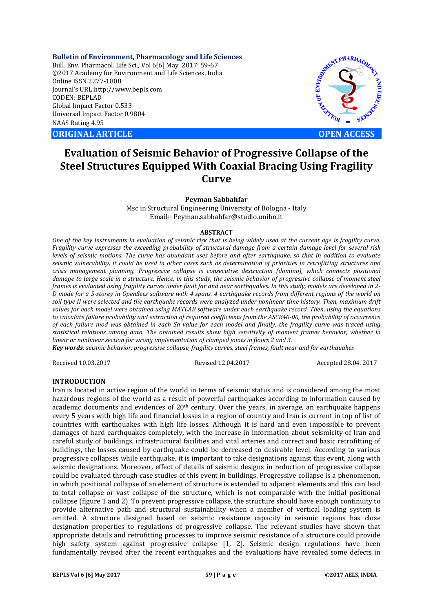**Bulletin of Environment, Pharmacology and Life Sciences** Bull. Env. Pharmacol. Life Sci., Vol 6[6] May 2017: 59-67 ©2017 Academy for Environment and Life Sciences, India Online ISSN 2277-1808 Journal's URL:http://www.bepls.com CODEN: BEPLAD Global Impact Factor 0.533 Universal Impact Factor 0.9804 NAAS Rating 4.95

**ORIGINAL ARTICLE OPEN ACCESS** 



# **Evaluation of Seismic Behavior of Progressive Collapse of the Steel Structures Equipped With Coaxial Bracing Using Fragility Curve**

**Peyman Sabbahfar**

Msc in Structural Engineering University of Bologna - Italy Email∷ Peyman.sabbahfar@studio.unibo.it

#### **ABSTRACT**

*One of the key instruments in evaluation of seismic risk that is being widely used at the current age is fragility curve. Fragility curve expresses the exceeding probability of structural damage from a certain damage level for several risk levels of seismic motions. The curve has abundant uses before and after earthquake, so that in addition to evaluate seismic vulnerability, it could be used in other cases such as determination of priorities in retrofitting structures and crisis management planning. Progressive collapse is consecutive destruction (domino), which connects positional damage to large scale in a structure. Hence, in this study, the seismic behavior of progressive collapse of moment steel frames is evaluated using fragility curves under fault far and near earthquakes. In this study, models are developed in 2- D mode for a 5-storey in OpenSees software with 4 spans. 4 earthquake records from different regions of the world on soil type II were selected and the earthquake records were analyzed under nonlinear time history. Then, maximum drift values for each model were obtained using MATLAB software under each earthquake record. Then, using the equations to calculate failure probability and extraction of required coefficients from the ASCE40-06, the probability of occurrence of each failure mod was obtained in each Sa value for each model and finally, the fragility curve was traced using statistical relations among data. The obtained results show high sensitivity of moment frames behavior, whether in linear or nonlinear section for wrong implementation of clamped joints in floors 2 and 3.* 

*Key words: seismic behavior, progressive collapse, fragility curves, steel frames, fault near and far earthquakes*

Received 10.03.2017 Revised 12.04.2017 Accepted 28.04. 2017

## **INTRODUCTION**

Iran is located in active region of the world in terms of seismic status and is considered among the most hazardous regions of the world as a result of powerful earthquakes according to information caused by academic documents and evidences of  $20<sup>th</sup>$  century. Over the years, in average, an earthquake happens every 5 years with high life and financial losses in a region of country and Iran is current in top of list of countries with earthquakes with high life losses. Although it is hard and even impossible to prevent damages of hard earthquakes completely, with the increase in information about seismicity of Iran and careful study of buildings, infrastructural facilities and vital arteries and correct and basic retrofitting of buildings, the losses caused by earthquake could be decreased to desirable level. According to various progressive collapses while earthquake, it is important to take designations against this event, along with seismic designations. Moreover, effect of details of seismic designs in reduction of progressive collapse could be evaluated through case studies of this event in buildings. Progressive collapse is a phenomenon, in which positional collapse of an element of structure is extended to adjacent elements and this can lead to total collapse or vast collapse of the structure, which is not comparable with the initial positional collapse (figure 1 and 2). To prevent progressive collapse, the structure should have enough continuity to provide alternative path and structural sustainability when a member of vertical loading system is omitted. A structure designed based on seismic resistance capacity in seismic regions has close designation properties to regulations of progressive collapse. The relevant studies have shown that appropriate details and retrofitting processes to improve seismic resistance of a structure could provide high safety system against progressive collapse [1, 2]. Seismic design regulations have been fundamentally revised after the recent earthquakes and the evaluations have revealed some defects in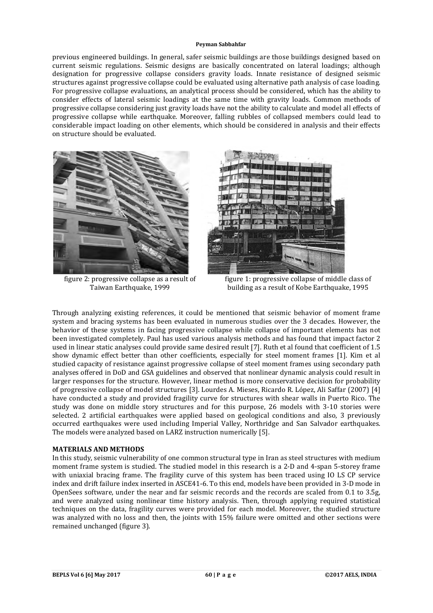previous engineered buildings. In general, safer seismic buildings are those buildings designed based on current seismic regulations. Seismic designs are basically concentrated on lateral loadings; although designation for progressive collapse considers gravity loads. Innate resistance of designed seismic structures against progressive collapse could be evaluated using alternative path analysis of case loading. For progressive collapse evaluations, an analytical process should be considered, which has the ability to consider effects of lateral seismic loadings at the same time with gravity loads. Common methods of progressive collapse considering just gravity loads have not the ability to calculate and model all effects of progressive collapse while earthquake. Moreover, falling rubbles of collapsed members could lead to considerable impact loading on other elements, which should be considered in analysis and their effects on structure should be evaluated.



figure 2: progressive collapse as a result of Taiwan Earthquake, 1999



figure 1: progressive collapse of middle class of building as a result of Kobe Earthquake, 1995

Through analyzing existing references, it could be mentioned that seismic behavior of moment frame system and bracing systems has been evaluated in numerous studies over the 3 decades. However, the behavior of these systems in facing progressive collapse while collapse of important elements has not been investigated completely. Paul has used various analysis methods and has found that impact factor 2 used in linear static analyses could provide same desired result [7]. Ruth et al found that coefficient of 1.5 show dynamic effect better than other coefficients, especially for steel moment frames [1]. Kim et al studied capacity of resistance against progressive collapse of steel moment frames using secondary path analyses offered in DoD and GSA guidelines and observed that nonlinear dynamic analysis could result in larger responses for the structure. However, linear method is more conservative decision for probability of progressive collapse of model structures [3]. Lourdes A. Mieses, Ricardo R. López, Ali Saffar (2007) [4] have conducted a study and provided fragility curve for structures with shear walls in Puerto Rico. The study was done on middle story structures and for this purpose, 26 models with 3-10 stories were selected. 2 artificial earthquakes were applied based on geological conditions and also, 3 previously occurred earthquakes were used including Imperial Valley, Northridge and San Salvador earthquakes. The models were analyzed based on LARZ instruction numerically [5].

## **MATERIALS AND METHODS**

In this study, seismic vulnerability of one common structural type in Iran as steel structures with medium moment frame system is studied. The studied model in this research is a 2-D and 4-span 5-storey frame with uniaxial bracing frame. The fragility curve of this system has been traced using IO LS CP service index and drift failure index inserted in ASCE41-6. To this end, models have been provided in 3-D mode in OpenSees software, under the near and far seismic records and the records are scaled from 0.1 to 3.5g, and were analyzed using nonlinear time history analysis. Then, through applying required statistical techniques on the data, fragility curves were provided for each model. Moreover, the studied structure was analyzed with no loss and then, the joints with 15% failure were omitted and other sections were remained unchanged (figure 3).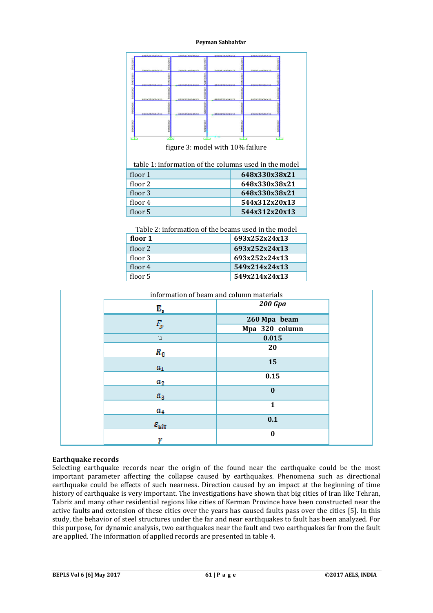|                                                       | 549×214×244×1 | 149821432433 | 145821482451               |  | 141871487481     |  |
|-------------------------------------------------------|---------------|--------------|----------------------------|--|------------------|--|
| MARTITISTERY                                          |               |              |                            |  |                  |  |
|                                                       |               |              |                            |  |                  |  |
| BENTHYME? MEET-TECHNIC                                | 491127928747  |              | <b><i>READY REPORT</i></b> |  | 49-14039-1-120-2 |  |
| <b>LOTENTIAN</b>                                      |               |              |                            |  |                  |  |
| docutour!                                             |               |              |                            |  |                  |  |
|                                                       |               |              |                            |  |                  |  |
| figure 3: model with 10% failure                      |               |              |                            |  |                  |  |
| table 1: information of the columns used in the model |               |              |                            |  |                  |  |
|                                                       | floor 1       |              |                            |  | 648x330x38x21    |  |
|                                                       | floor 2       |              |                            |  | 648x330x38x21    |  |
|                                                       | floor 3       |              |                            |  | 648x330x38x21    |  |
|                                                       | floor 4       |              |                            |  | 544x312x20x13    |  |
|                                                       | floor 5       |              |                            |  | 544x312x20x13    |  |
|                                                       |               |              |                            |  |                  |  |

| Table 2: information of the beams used in the model |               |  |  |
|-----------------------------------------------------|---------------|--|--|
| floor 1                                             | 693x252x24x13 |  |  |
| floor 2                                             | 693x252x24x13 |  |  |
| floor 3                                             | 693x252x24x13 |  |  |
| floor 4                                             | 549x214x24x13 |  |  |
| floor 5                                             | 549x214x24x13 |  |  |
|                                                     |               |  |  |

| information of beam and column materials |                     |                |  |
|------------------------------------------|---------------------|----------------|--|
|                                          | Е,                  | <b>200 Gpa</b> |  |
|                                          | $F_{\rm gr}$        | 260 Mpa beam   |  |
|                                          |                     | Mpa 320 column |  |
|                                          | $\mu$               | 0.015          |  |
|                                          | $R_{\rm 0}$         | 20             |  |
|                                          | $a_1$               | 15             |  |
|                                          | $a_2$               | 0.15           |  |
|                                          | $a_{3}$             | $\mathbf{0}$   |  |
|                                          | tl.g                | $\mathbf{1}$   |  |
|                                          | $\mathcal{E}_{ult}$ | 0.1            |  |
|                                          | w                   | $\mathbf 0$    |  |

## **Earthquake records**

Selecting earthquake records near the origin of the found near the earthquake could be the most important parameter affecting the collapse caused by earthquakes. Phenomena such as directional earthquake could be effects of such nearness. Direction caused by an impact at the beginning of time history of earthquake is very important. The investigations have shown that big cities of Iran like Tehran, Tabriz and many other residential regions like cities of Kerman Province have been constructed near the active faults and extension of these cities over the years has caused faults pass over the cities [5]. In this study, the behavior of steel structures under the far and near earthquakes to fault has been analyzed. For this purpose, for dynamic analysis, two earthquakes near the fault and two earthquakes far from the fault are applied. The information of applied records are presented in table 4.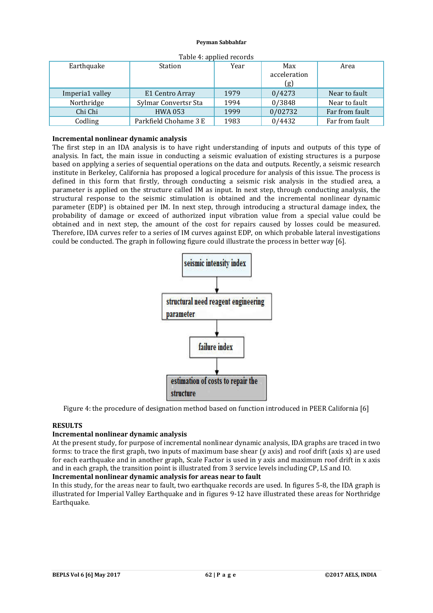| $10010 + 1000100 + 1000100$ |                       |      |              |                |  |
|-----------------------------|-----------------------|------|--------------|----------------|--|
| Earthquake                  | Station               | Year | Max          | Area           |  |
|                             |                       |      | acceleration |                |  |
|                             |                       |      | (g)          |                |  |
| Imperia1 valley             | E1 Centro Array       | 1979 | 0/4273       | Near to fault  |  |
| Northridge                  | Sylmar Convertsr Sta  | 1994 | 0/3848       | Near to fault  |  |
| Chi Chi                     | <b>HWA 053</b>        | 1999 | 0/02732      | Far from fault |  |
| Codling                     | Parkfield Chohame 3 E | 1983 | 0/4432       | Far from fault |  |

| Table 4: applied records |  |  |
|--------------------------|--|--|
|--------------------------|--|--|

## **Incremental nonlinear dynamic analysis**

The first step in an IDA analysis is to have right understanding of inputs and outputs of this type of analysis. In fact, the main issue in conducting a seismic evaluation of existing structures is a purpose based on applying a series of sequential operations on the data and outputs. Recently, a seismic research institute in Berkeley, California has proposed a logical procedure for analysis of this issue. The process is defined in this form that firstly, through conducting a seismic risk analysis in the studied area, a parameter is applied on the structure called IM as input. In next step, through conducting analysis, the structural response to the seismic stimulation is obtained and the incremental nonlinear dynamic parameter (EDP) is obtained per IM. In next step, through introducing a structural damage index, the probability of damage or exceed of authorized input vibration value from a special value could be obtained and in next step, the amount of the cost for repairs caused by losses could be measured. Therefore, IDA curves refer to a series of IM curves against EDP, on which probable lateral investigations could be conducted. The graph in following figure could illustrate the process in better way [6].



Figure 4: the procedure of designation method based on function introduced in PEER California [6]

## **RESULTS**

## **Incremental nonlinear dynamic analysis**

At the present study, for purpose of incremental nonlinear dynamic analysis, IDA graphs are traced in two forms: to trace the first graph, two inputs of maximum base shear (y axis) and roof drift (axis x) are used for each earthquake and in another graph, Scale Factor is used in y axis and maximum roof drift in x axis and in each graph, the transition point is illustrated from 3 service levels including CP, LS and IO.

## **Incremental nonlinear dynamic analysis for areas near to fault**

In this study, for the areas near to fault, two earthquake records are used. In figures 5-8, the IDA graph is illustrated for Imperial Valley Earthquake and in figures 9-12 have illustrated these areas for Northridge Earthquake.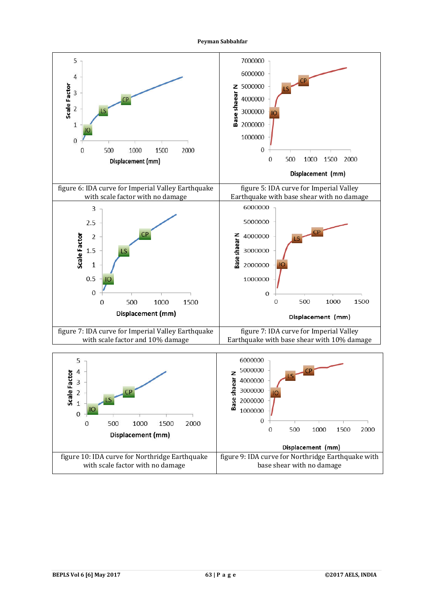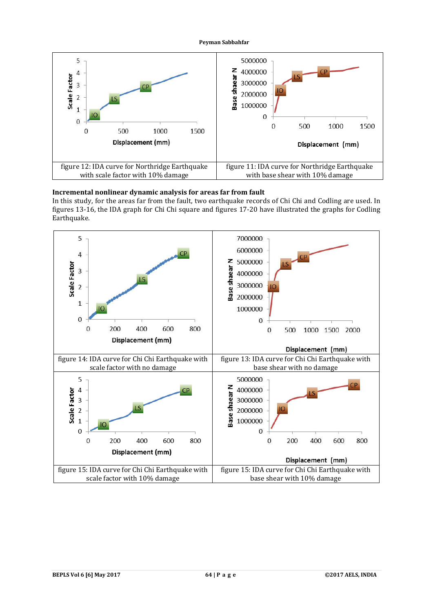

# **Incremental nonlinear dynamic analysis for areas far from fault**

In this study, for the areas far from the fault, two earthquake records of Chi Chi and Codling are used. In figures 13-16, the IDA graph for Chi Chi square and figures 17-20 have illustrated the graphs for Codling Earthquake.

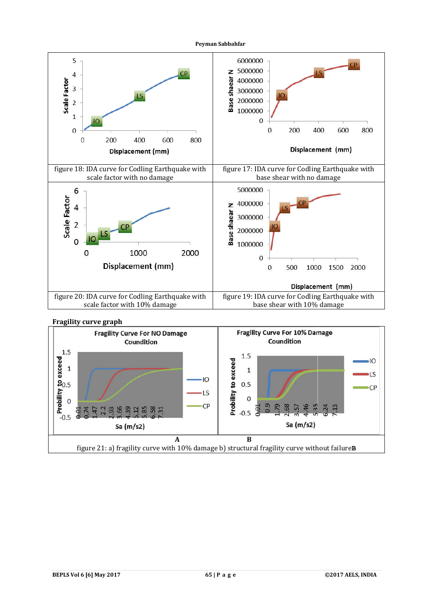

# **Fragility curve graph**

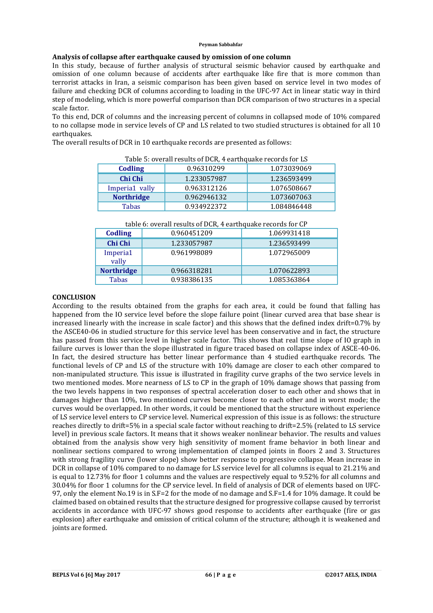## **Analysis of collapse after earthquake caused by omission of one column**

In this study, because of further analysis of structural seismic behavior caused by earthquake and omission of one column because of accidents after earthquake like fire that is more common than terrorist attacks in Iran, a seismic comparison has been given based on service level in two modes of failure and checking DCR of columns according to loading in the UFC-97 Act in linear static way in third step of modeling, which is more powerful comparison than DCR comparison of two structures in a special scale factor.

To this end, DCR of columns and the increasing percent of columns in collapsed mode of 10% compared to no collapse mode in service levels of CP and LS related to two studied structures is obtained for all 10 earthquakes.

The overall results of DCR in 10 earthquake records are presented as follows:

| Table 5. Overall results of DUN, 4 earlinguake records for ES |                            |             |  |  |
|---------------------------------------------------------------|----------------------------|-------------|--|--|
| Codling                                                       | 0.96310299                 | 1.073039069 |  |  |
| Chi Chi                                                       | 1.236593499<br>1.233057987 |             |  |  |
| Imperia1 vally                                                | 0.963312126                | 1.076508667 |  |  |
| <b>Northridge</b>                                             | 0.962946132                | 1.073607063 |  |  |
| <b>Tabas</b>                                                  | 0.934922372                | 1.084846448 |  |  |

Table 5: overall results of DCR, 4 earthquake records for LS

| <b>Codling</b>    | 0.960451209 | 1.069931418 |
|-------------------|-------------|-------------|
| Chi Chi           | 1.233057987 | 1.236593499 |
| Imperia1<br>vally | 0.961998089 | 1.072965009 |
| <b>Northridge</b> | 0.966318281 | 1.070622893 |
| Tabas             | 0.938386135 | 1.085363864 |
|                   |             |             |

#### **CONCLUSION**

According to the results obtained from the graphs for each area, it could be found that falling has happened from the IO service level before the slope failure point (linear curved area that base shear is increased linearly with the increase in scale factor) and this shows that the defined index drift=0.7% by the ASCE40-06 in studied structure for this service level has been conservative and in fact, the structure has passed from this service level in higher scale factor. This shows that real time slope of IO graph in failure curves is lower than the slope illustrated in figure traced based on collapse index of ASCE-40-06. In fact, the desired structure has better linear performance than 4 studied earthquake records. The functional levels of CP and LS of the structure with 10% damage are closer to each other compared to non-manipulated structure. This issue is illustrated in fragility curve graphs of the two service levels in two mentioned modes. More nearness of LS to CP in the graph of 10% damage shows that passing from the two levels happens in two responses of spectral acceleration closer to each other and shows that in damages higher than 10%, two mentioned curves become closer to each other and in worst mode; the curves would be overlapped. In other words, it could be mentioned that the structure without experience of LS service level enters to CP service level. Numerical expression of this issue is as follows: the structure reaches directly to drift=5% in a special scale factor without reaching to drift=2.5% (related to LS service level) in previous scale factors. It means that it shows weaker nonlinear behavior. The results and values obtained from the analysis show very high sensitivity of moment frame behavior in both linear and nonlinear sections compared to wrong implementation of clamped joints in floors 2 and 3. Structures with strong fragility curve (lower slope) show better response to progressive collapse. Mean increase in DCR in collapse of 10% compared to no damage for LS service level for all columns is equal to 21.21% and is equal to 12.73% for floor 1 columns and the values are respectively equal to 9.52% for all columns and 30.04% for floor 1 columns for the CP service level. In field of analysis of DCR of elements based on UFC-97, only the element No.19 is in S.F=2 for the mode of no damage and S.F=1.4 for 10% damage. It could be claimed based on obtained results that the structure designed for progressive collapse caused by terrorist accidents in accordance with UFC-97 shows good response to accidents after earthquake (fire or gas explosion) after earthquake and omission of critical column of the structure; although it is weakened and joints are formed.